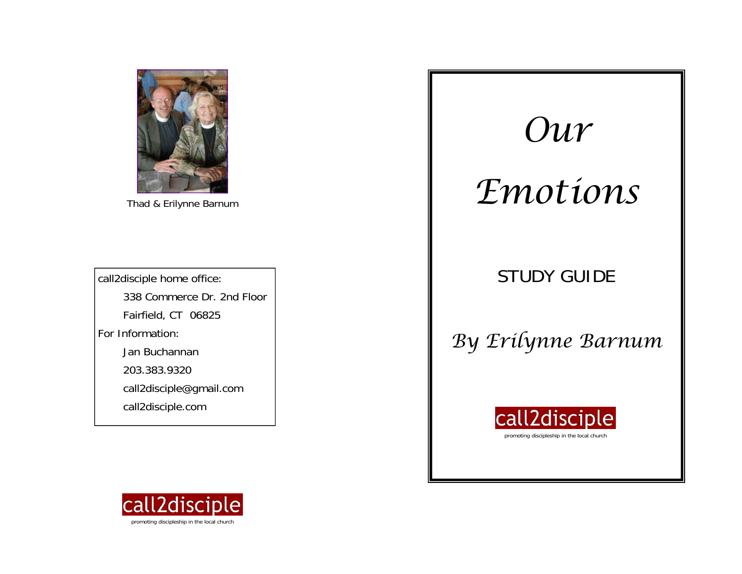Erilynne Barnum

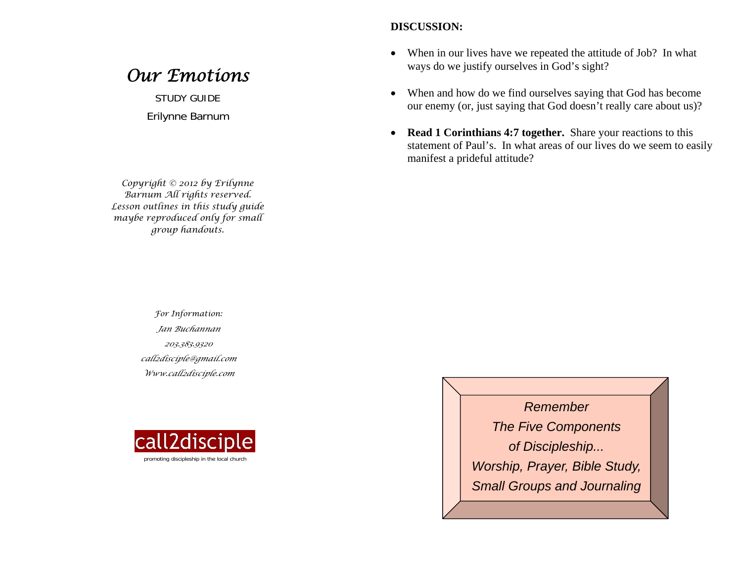#### **DISCUSSION:**

- $\bullet$  When in our lives have we repeated the attitude of Job? In what ways do we justify ourselves in God's sight?
- $\bullet$  When and how do we find ourselves saying that God has become our enemy (or, just saying that God doesn't really care about us)?
- $\bullet$  **Read 1 Corinthians 4:7 together.** Share your reactions to this statement of Paul's. In what areas of our lives do we seem to easily manifest a prideful attitude?

*For Information: Jan Buchannan 203.383.9320 call2disciple@gmail.com Www.call2disciple.com* 



*Remember The Five Components of Discipleship... Worship, Prayer, Bible Study, Small Groups and Journaling* 

# *Our Emotions*

STUDY GUIDE Erilynne Barnum

*Copyright © 2012 by Erilynne Barnum All rights reserved. Lesson outlines in this study guide maybe reproduced only for small group handouts.*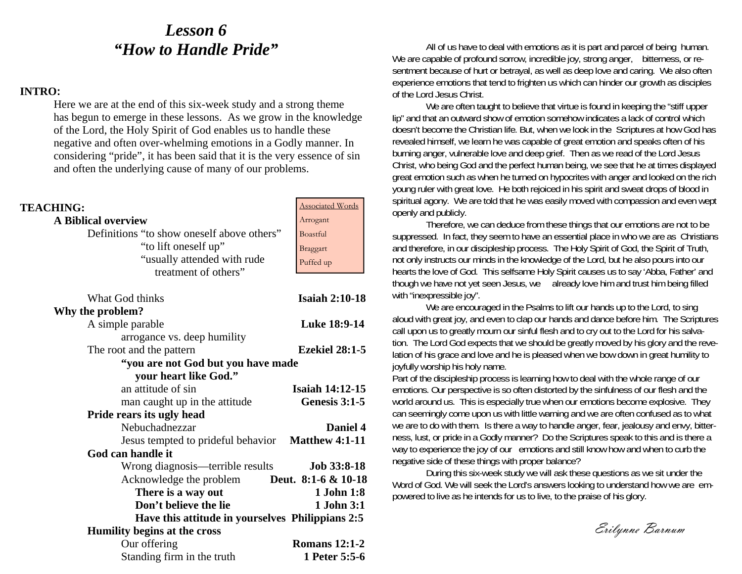### *Lesson 6 "How to Handle Pride"*

#### **INTRO:**

Here we are at the end of this six-week study and a strong theme has begun to emerge in these lessons. As we grow in the knowledge of the Lord, the Holy Spirit of God enables us to handle these negative and often over-whelming emotions in a Godly manner. In considering "pride", it has been said that it is the very essence of sin and often the underlying cause of many of our problems.

| <b>TEACHING:</b>                                  | <b>Associated Words</b> |
|---------------------------------------------------|-------------------------|
| <b>A Biblical overview</b>                        | Arrogant                |
| Definitions "to show oneself above others"        | <b>Boastful</b>         |
| "to lift oneself up"                              | Braggart                |
| "usually attended with rude                       | Puffed up               |
| treatment of others"                              |                         |
| What God thinks                                   | <b>Isaiah 2:10-18</b>   |
| Why the problem?                                  |                         |
| A simple parable                                  | Luke 18:9-14            |
| arrogance vs. deep humility                       |                         |
| The root and the pattern                          | <b>Ezekiel 28:1-5</b>   |
| "you are not God but you have made                |                         |
| your heart like God."                             |                         |
| an attitude of sin                                | <b>Isaiah 14:12-15</b>  |
| man caught up in the attitude                     | Genesis 3:1-5           |
| Pride rears its ugly head                         |                         |
| Nebuchadnezzar                                    | Daniel 4                |
| Jesus tempted to prideful behavior Matthew 4:1-11 |                         |
| God can handle it                                 |                         |
| Wrong diagnosis—terrible results                  | <b>Job 33:8-18</b>      |
| Acknowledge the problem                           | Deut. 8:1-6 & 10-18     |
| There is a way out                                | 1 John 1:8              |
| Don't believe the lie                             | 1 John 3:1              |
| Have this attitude in yourselves Philippians 2:5  |                         |
| Humility begins at the cross                      |                         |
| Our offering                                      | <b>Romans 12:1-2</b>    |
| Standing firm in the truth                        | 1 Peter 5:5-6           |

All of us have to deal with emotions as it is part and parcel of being human. We are capable of profound sorrow, incredible joy, strong anger, bitterness, or resentment because of hurt or betrayal, as well as deep love and caring. We also often experience emotions that tend to frighten us which can hinder our growth as disciples of the Lord Jesus Christ.

We are often taught to believe that virtue is found in keeping the "stiff upper lip" and that an outward show of emotion somehow indicates a lack of control which doesn't become the Christian life. But, when we look in the Scriptures at how God has revealed himself, we learn he was capable of great emotion and speaks often of his burning anger, vulnerable love and deep grief. Then as we read of the Lord Jesus Christ, who being God and the perfect human being, we see that he at times displayed great emotion such as when he turned on hypocrites with anger and looked on the rich young ruler with great love. He both rejoiced in his spirit and sweat drops of blood in spiritual agony. We are told that he was easily moved with compassion and even wept openly and publicly.

Therefore, we can deduce from these things that our emotions are not to be suppressed. In fact, they seem to have an essential place in who we are as Christians and therefore, in our discipleship process. The Holy Spirit of God, the Spirit of Truth, not only instructs our minds in the knowledge of the Lord, but he also pours into our hearts the love of God. This selfsame Holy Spirit causes us to say 'Abba, Father' and though we have not yet seen Jesus, we already love him and trust him being filled with "inexpressible joy".

We are encouraged in the Psalms to lift our hands up to the Lord, to sing aloud with great joy, and even to clap our hands and dance before him. The Scriptures call upon us to greatly mourn our sinful flesh and to cry out to the Lord for his salvation. The Lord God expects that we should be greatly moved by his glory and the revelation of his grace and love and he is pleased when we bow down in great humility to joyfully worship his holy name.

Part of the discipleship process is learning how to deal with the whole range of our emotions. Our perspective is so often distorted by the sinfulness of our flesh and the world around us. This is especially true when our emotions become explosive. They can seemingly come upon us with little warning and we are often confused as to what we are to do with them. Is there a way to handle anger, fear, jealousy and envy, bitterness, lust, or pride in a Godly manner? Do the Scriptures speak to this and is there a way to experience the joy of our emotions and still know how and when to curb the negative side of these things with proper balance?

During this six-week study we will ask these questions as we sit under the Word of God. We will seek the Lord's answers looking to understand how we are empowered to live as he intends for us to live, to the praise of his glory.

Erilynne Barnum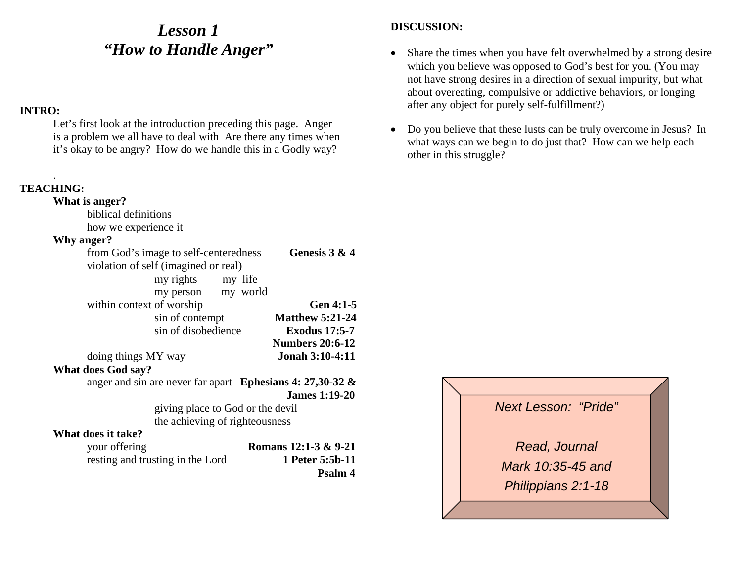## *Lesson 1 "How to Handle Anger"*

#### **INTRO:**

Let's first look at the introduction preceding this page. Anger is a problem we all have to deal with Are there any times when it's okay to be angry? How do we handle this in a Godly way?

#### **TEACHING:**

.

#### **What is anger?**  biblical definitions how we experience it **Why anger?** from God's image to self-centeredness **Genesis 3 & 4** violation of self (imagined or real) my rights my life my person my world within context of worship **Gen 4:1-5** sin of contempt **Matthew 5:21-24** sin of disobedience **Exodus 17:5-7Numbers 20:6-12**doing things MY way **Jonah 3:10-4:11 What does God say?** anger and sin are never far apart **Ephesians 4: 27,30-32 & James 1:19-20**giving place to God or the devil the achieving of righteousness

#### **What does it take?**

| your offering                    | Romans 12:1-3 & 9-21 |
|----------------------------------|----------------------|
| resting and trusting in the Lord | 1 Peter 5:5b-11      |
|                                  | <b>Psalm 4</b>       |

- $\bullet$  Share the times when you have felt overwhelmed by a strong desire which you believe was opposed to God's best for you. (You may not have strong desires in a direction of sexual impurity, but what about overeating, compulsive or addictive behaviors, or longing after any object for purely self-fulfillment?)
- $\bullet$  Do you believe that these lusts can be truly overcome in Jesus? In what ways can we begin to do just that? How can we help each other in this struggle?

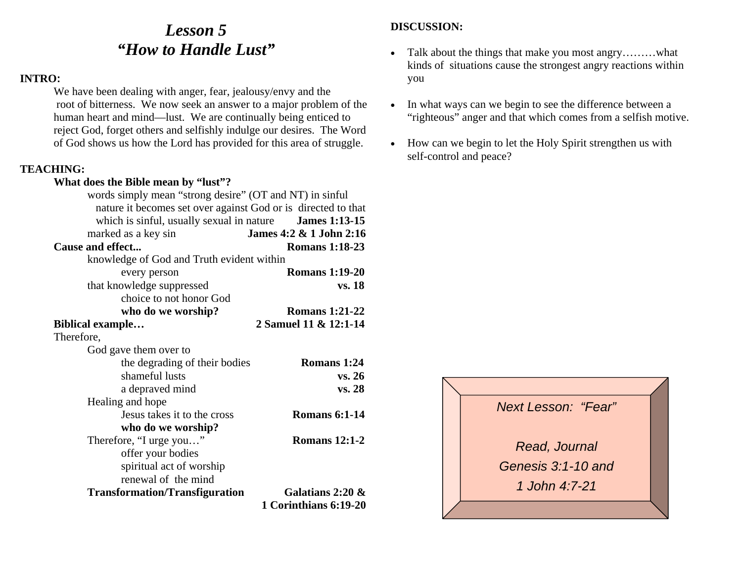### *Lesson 5 "How to Handle Lust"*

#### **INTRO:**

We have been dealing with anger, fear, jealousy/envy and the root of bitterness. We now seek an answer to a major problem of the human heart and mind—lust. We are continually being enticed to reject God, forget others and selfishly indulge our desires. The Word of God shows us how the Lord has provided for this area of struggle.

#### **TEACHING:**

#### **What does the Bible mean by "lust"?**

| words simply mean "strong desire" (OT and NT) in sinful<br>nature it becomes set over against God or is directed to that |                         |
|--------------------------------------------------------------------------------------------------------------------------|-------------------------|
|                                                                                                                          |                         |
| which is sinful, usually sexual in nature <b>James 1:13-15</b>                                                           |                         |
| marked as a key sin                                                                                                      | James 4:2 & 1 John 2:16 |
| Cause and effect                                                                                                         | <b>Romans 1:18-23</b>   |
| knowledge of God and Truth evident within                                                                                |                         |
| every person                                                                                                             | <b>Romans 1:19-20</b>   |
| that knowledge suppressed                                                                                                | vs. 18                  |
| choice to not honor God                                                                                                  |                         |
| who do we worship?                                                                                                       | <b>Romans 1:21-22</b>   |
| <b>Biblical example</b>                                                                                                  | 2 Samuel 11 & 12:1-14   |
| Therefore,                                                                                                               |                         |
| God gave them over to                                                                                                    |                         |
| the degrading of their bodies                                                                                            | Romans 1:24             |
| shameful lusts                                                                                                           | vs. 26                  |
| a depraved mind                                                                                                          | vs. 28                  |
| Healing and hope                                                                                                         |                         |
| Jesus takes it to the cross                                                                                              | <b>Romans 6:1-14</b>    |
| who do we worship?                                                                                                       |                         |
| Therefore, "I urge you"                                                                                                  | <b>Romans 12:1-2</b>    |
| offer your bodies                                                                                                        |                         |
| spiritual act of worship                                                                                                 |                         |
| renewal of the mind                                                                                                      |                         |
| <b>Transformation/Transfiguration</b>                                                                                    | Galatians 2:20 $\&$     |
|                                                                                                                          | 1 Corinthians 6:19-20   |
|                                                                                                                          |                         |

- $\bullet$  Talk about the things that make you most angry………what kinds of situations cause the strongest angry reactions within you
- $\bullet$  In what ways can we begin to see the difference between a "righteous" anger and that which comes from a selfish motive.
- How can we begin to let the Holy Spirit strengthen us with self-control and peace?

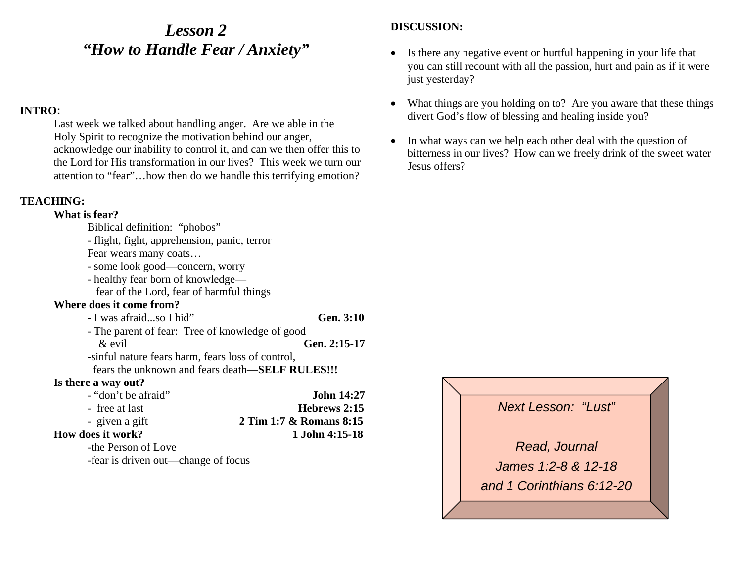### *Lesson 2 "How to Handle Fear / Anxiety"*

#### **INTRO:**

Last week we talked about handling anger. Are we able in the Holy Spirit to recognize the motivation behind our anger, acknowledge our inability to control it, and can we then offer this to the Lord for His transformation in our lives? This week we turn our attention to "fear"…how then do we handle this terrifying emotion?

#### **TEACHING:**

#### **What is fear?**

- Biblical definition: "phobos"
- flight, fight, apprehension, panic, terror

Fear wears many coats…

- some look good—concern, worry
- healthy fear born of knowledge—

fear of the Lord, fear of harmful things

#### **Where does it come from?**

| - I was afraidso I hid"                           | Gen. 3:10         |
|---------------------------------------------------|-------------------|
| - The parent of fear: Tree of knowledge of good   |                   |
| $\&$ evil                                         | Gen. 2:15-17      |
| -sinful nature fears harm, fears loss of control, |                   |
| fears the unknown and fears death—SELF RULES!!!   |                   |
| Is there a way out?                               |                   |
| - "don't be afraid"                               | <b>John 14:27</b> |

#### **Is then**

| - "don't be afraid"      | <b>John 14:27</b>       |
|--------------------------|-------------------------|
| - free at last           | Hebrews 2:15            |
| - given a gift           | 2 Tim 1:7 & Romans 8:15 |
| <b>How does it work?</b> | 1 John 4:15-18          |
| the Deman of Lave        |                         |

#### -the Person of Love

-fear is driven out—change of focus

- $\bullet$  Is there any negative event or hurtful happening in your life that you can still recount with all the passion, hurt and pain as if it were just yesterday?
- $\bullet$  What things are you holding on to? Are you aware that these things divert God's flow of blessing and healing inside you?
- $\bullet$  In what ways can we help each other deal with the question of bitterness in our lives? How can we freely drink of the sweet water Jesus offers?

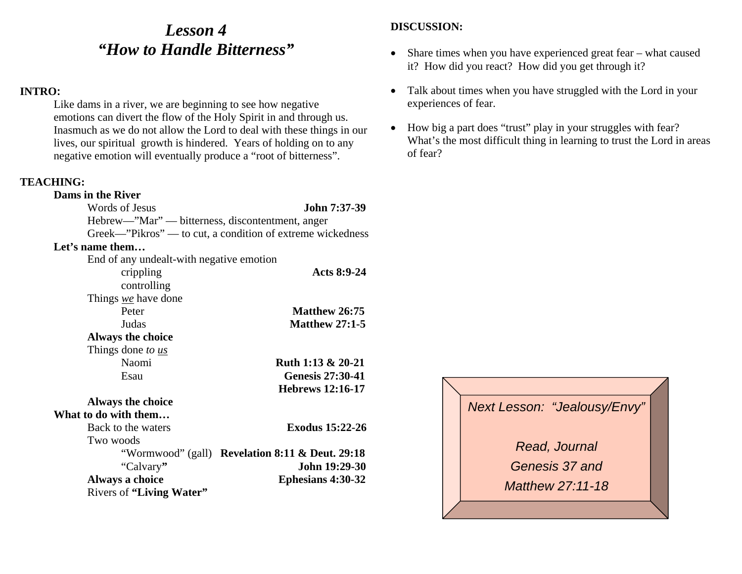### *Lesson 4 "How to Handle Bitterness"*

#### **INTRO:**

Like dams in a river, we are beginning to see how negative emotions can divert the flow of the Holy Spirit in and through us. Inasmuch as we do not allow the Lord to deal with these things in our lives, our spiritual growth is hindered. Years of holding on to any negative emotion will eventually produce a "root of bitterness".

#### **TEACHING:**

#### **Dams in the River** Words of Jesus **John 7:37-39** Hebrew—"Mar" — bitterness, discontentment, anger Greek—"Pikros" — to cut, a condition of extreme wickedness **Let's name them…** End of any undealt-with negative emotion crippling **Acts 8:9-24** controlling Things *we* have done Peter **Matthew 26:75** Judas **Matthew 27:1-5Always the choice**  Things done *to us* Naomi **Ruth 1:13 & 20-21** Esau **Genesis 27:30-41 Hebrews 12:16-17 Always the choice What to do with them…** Back to the waters **Exodus 15:22-26** Two woods "Wormwood" (gall) **Revelation 8:11 & Deut. 29:18** "Calvary**" John 19:29-30**  Always a choice Ephesians 4:30-32 Rivers of **"Living Water"**

- Share times when you have experienced great fear what caused it? How did you react? How did you get through it?
- $\bullet$  Talk about times when you have struggled with the Lord in your experiences of fear.
- $\bullet$  How big a part does "trust" play in your struggles with fear? What's the most difficult thing in learning to trust the Lord in areas of fear?